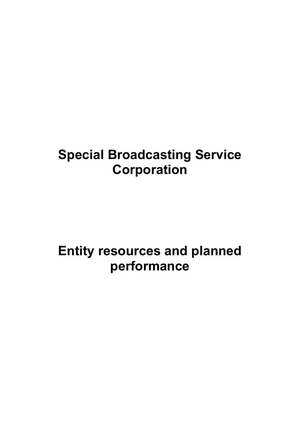# **Special Broadcasting Service Corporation**

# **Entity resources and planned performance**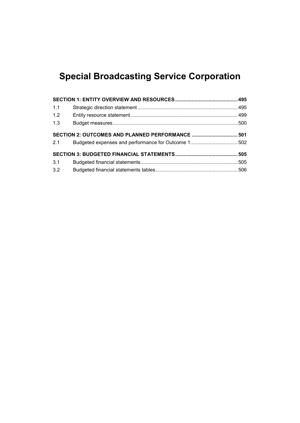## **Special Broadcasting Service Corporation**

| 1.1 |                                                  |  |
|-----|--------------------------------------------------|--|
| 1.2 |                                                  |  |
| 1.3 |                                                  |  |
|     | SECTION 2: OUTCOMES AND PLANNED PERFORMANCE  501 |  |
| 2.1 |                                                  |  |
|     |                                                  |  |
| 3.1 |                                                  |  |
| 3.2 |                                                  |  |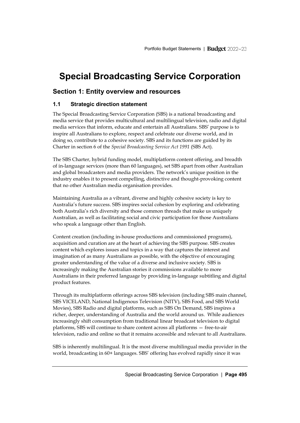## **Special Broadcasting Service Corporation**

## <span id="page-4-0"></span>**Section 1: Entity overview and resources**

## <span id="page-4-1"></span>**1.1 Strategic direction statement**

The Special Broadcasting Service Corporation (SBS) is a national broadcasting and media service that provides multicultural and multilingual television, radio and digital media services that inform, educate and entertain all Australians. SBS' purpose is to inspire all Australians to explore, respect and celebrate our diverse world, and in doing so, contribute to a cohesive society. SBS and its functions are guided by its Charter in section 6 of the *Special Broadcasting Service Act 1991* (SBS Act).

The SBS Charter, hybrid funding model, multiplatform content offering, and breadth of in-language services (more than 60 languages), set SBS apart from other Australian and global broadcasters and media providers. The network's unique position in the industry enables it to present compelling, distinctive and thought-provoking content that no other Australian media organisation provides.

Maintaining Australia as a vibrant, diverse and highly cohesive society is key to Australia's future success. SBS inspires social cohesion by exploring and celebrating both Australia's rich diversity and those common threads that make us uniquely Australian, as well as facilitating social and civic participation for those Australians who speak a language other than English.

Content creation (including in-house productions and commissioned programs), acquisition and curation are at the heart of achieving the SBS purpose. SBS creates content which explores issues and topics in a way that captures the interest and imagination of as many Australians as possible, with the objective of encouraging greater understanding of the value of a diverse and inclusive society. SBS is increasingly making the Australian stories it commissions available to more Australians in their preferred language by providing in-language subtitling and digital product features.

Through its multiplatform offerings across SBS television (including SBS main channel, SBS VICELAND, National Indigenous Television (NITV), SBS Food, and SBS World Movies), SBS Radio and digital platforms, such as SBS On Demand, SBS inspires a richer, deeper, understanding of Australia and the world around us. While audiences increasingly shift consumption from traditional linear broadcast television to digital platforms, SBS will continue to share content across all platforms — free-to-air television, radio and online so that it remains accessible and relevant to all Australians.

SBS is inherently multilingual. It is the most diverse multilingual media provider in the world, broadcasting in 60+ languages. SBS' offering has evolved rapidly since it was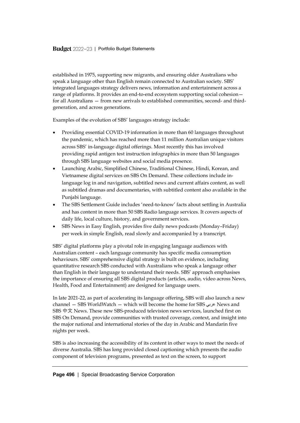established in 1975, supporting new migrants, and ensuring older Australians who speak a language other than English remain connected to Australian society. SBS' integrated languages strategy delivers news, information and entertainment across a range of platforms. It provides an end-to-end ecosystem supporting social cohesion for all Australians — from new arrivals to established communities, second- and thirdgeneration, and across generations.

Examples of the evolution of SBS' languages strategy include:

- Providing essential COVID-19 information in more than 60 languages throughout the pandemic, which has reached more than 11 million Australian unique visitors across SBS' in-language digital offerings. Most recently this has involved providing rapid antigen test instruction infographics in more than 50 languages through SBS language websites and social media presence.
- Launching Arabic, Simplified Chinese, Traditional Chinese, Hindi, Korean, and Vietnamese digital services on SBS On Demand. These collections include inlanguage log in and navigation, subtitled news and current affairs content, as well as subtitled dramas and documentaries, with subtitled content also available in the Punjabi language.
- The SBS Settlement Guide includes 'need-to-know' facts about settling in Australia and has content in more than 50 SBS Radio language services. It covers aspects of daily life, local culture, history, and government services.
- SBS News in Easy English, provides five daily news podcasts (Monday–Friday) per week in simple English, read slowly and accompanied by a transcript.

SBS' digital platforms play a pivotal role in engaging language audiences with Australian content – each language community has specific media consumption behaviours. SBS' comprehensive digital strategy is built on evidence, including quantitative research SBS conducted with Australians who speak a language other than English in their language to understand their needs. SBS' approach emphasises the importance of ensuring all SBS digital products (articles, audio, video across News, Health, Food and Entertainment) are designed for language users.

In late 2021-22, as part of accelerating its language offering, SBS will also launch a new channel — SBS WorldWatch — which will become the home for SBS عربي News and SBS 中文 News. These new SBS-produced television news services, launched first on SBS On Demand, provide communities with trusted coverage, context, and insight into the major national and international stories of the day in Arabic and Mandarin five nights per week.

SBS is also increasing the accessibility of its content in other ways to meet the needs of diverse Australia. SBS has long provided closed captioning which presents the audio component of television programs, presented as text on the screen, to support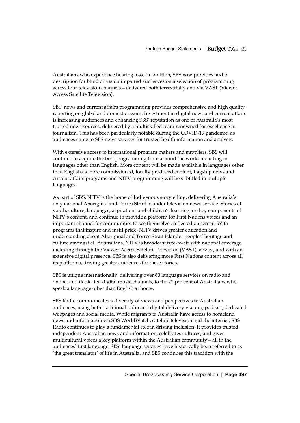Australians who experience hearing loss. In addition, SBS now provides audio description for blind or vision impaired audiences on a selection of programming across four television channels—delivered both terrestrially and via VAST (Viewer Access Satellite Television).

SBS' news and current affairs programming provides comprehensive and high quality reporting on global and domestic issues. Investment in digital news and current affairs is increasing audiences and enhancing SBS' reputation as one of Australia's most trusted news sources, delivered by a multiskilled team renowned for excellence in journalism. This has been particularly notable during the COVID-19 pandemic, as audiences come to SBS news services for trusted health information and analysis.

With extensive access to international program makers and suppliers, SBS will continue to acquire the best programming from around the world including in languages other than English. More content will be made available in languages other than English as more commissioned, locally produced content, flagship news and current affairs programs and NITV programming will be subtitled in multiple languages.

As part of SBS, NITV is the home of Indigenous storytelling, delivering Australia's only national Aboriginal and Torres Strait Islander television news service. Stories of youth, culture, languages, aspirations and children's learning are key components of NITV's content, and continue to provide a platform for First Nations voices and an important channel for communities to see themselves reflected on screen. With programs that inspire and instil pride, NITV drives greater education and understanding about Aboriginal and Torres Strait Islander peoples' heritage and culture amongst all Australians. NITV is broadcast free-to-air with national coverage, including through the Viewer Access Satellite Television (VAST) service, and with an extensive digital presence. SBS is also delivering more First Nations content across all its platforms, driving greater audiences for these stories.

SBS is unique internationally, delivering over 60 language services on radio and online, and dedicated digital music channels, to the 21 per cent of Australians who speak a language other than English at home.

SBS Radio communicates a diversity of views and perspectives to Australian audiences, using both traditional radio and digital delivery via app, podcast, dedicated webpages and social media. While migrants to Australia have access to homeland news and information via SBS WorldWatch, satellite television and the internet, SBS Radio continues to play a fundamental role in driving inclusion. It provides trusted, independent Australian news and information, celebrates cultures, and gives multicultural voices a key platform within the Australian community—all in the audiences' first language. SBS' language services have historically been referred to as 'the great translator' of life in Australia, and SBS continues this tradition with the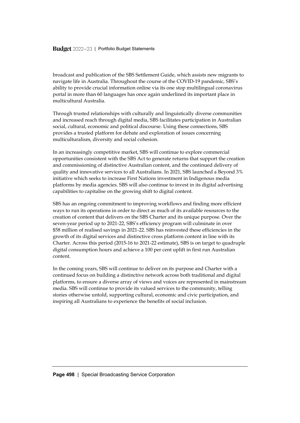broadcast and publication of the SBS Settlement Guide, which assists new migrants to navigate life in Australia. Throughout the course of the COVID-19 pandemic, SBS's ability to provide crucial information online via its one stop multilingual coronavirus portal in more than 60 languages has once again underlined its important place in multicultural Australia.

Through trusted relationships with culturally and linguistically diverse communities and increased reach through digital media, SBS facilitates participation in Australian social, cultural, economic and political discourse. Using these connections, SBS provides a trusted platform for debate and exploration of issues concerning multiculturalism, diversity and social cohesion.

In an increasingly competitive market, SBS will continue to explore commercial opportunities consistent with the SBS Act to generate returns that support the creation and commissioning of distinctive Australian content, and the continued delivery of quality and innovative services to all Australians. In 2021, SBS launched a Beyond 3% initiative which seeks to increase First Nations investment in Indigenous media platforms by media agencies. SBS will also continue to invest in its digital advertising capabilities to capitalise on the growing shift to digital content.

SBS has an ongoing commitment to improving workflows and finding more efficient ways to run its operations in order to direct as much of its available resources to the creation of content that delivers on the SBS Charter and its unique purpose. Over the seven-year period up to 2021-22, SBS's efficiency program will culminate in over \$58 million of realised savings in 2021-22. SBS has reinvested these efficiencies in the growth of its digital services and distinctive cross platform content in line with its Charter. Across this period (2015-16 to 2021-22 estimate), SBS is on target to quadruple digital consumption hours and achieve a 100 per cent uplift in first run Australian content.

In the coming years, SBS will continue to deliver on its purpose and Charter with a continued focus on building a distinctive network across both traditional and digital platforms, to ensure a diverse array of views and voices are represented in mainstream media. SBS will continue to provide its valued services to the community, telling stories otherwise untold, supporting cultural, economic and civic participation, and inspiring all Australians to experience the benefits of social inclusion.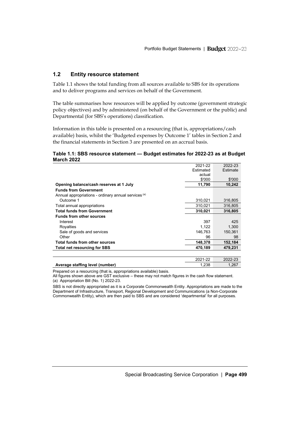#### <span id="page-8-0"></span>**1.2 Entity resource statement**

Table 1.1 shows the total funding from all sources available to SBS for its operations and to deliver programs and services on behalf of the Government.

The table summarises how resources will be applied by outcome (government strategic policy objectives) and by administered (on behalf of the Government or the public) and Departmental (for SBS's operations) classification.

Information in this table is presented on a resourcing (that is, appropriations/cash available) basis, whilst the 'Budgeted expenses by Outcome 1' tables in Section 2 and the financial statements in Section 3 are presented on an accrual basis.

#### **Table 1.1: SBS resource statement — Budget estimates for 2022-23 as at Budget March 2022**

|                                                      | 2021-22          | 2022-23  |
|------------------------------------------------------|------------------|----------|
|                                                      | <b>Fstimated</b> | Estimate |
|                                                      | actual           |          |
|                                                      | \$'000           | \$'000   |
| Opening balance/cash reserves at 1 July              | 11,790           | 10.242   |
| <b>Funds from Government</b>                         |                  |          |
| Annual appropriations - ordinary annual services (a) |                  |          |
| Outcome 1                                            | 310,021          | 316,805  |
| Total annual appropriations                          | 310.021          | 316.805  |
| <b>Total funds from Government</b>                   | 310,021          | 316.805  |
| <b>Funds from other sources</b>                      |                  |          |
| Interest                                             | 397              | 425      |
| Royalties                                            | 1.122            | 1.300    |
| Sale of goods and services                           | 146.763          | 150,361  |
| Other                                                | 96               | 98       |
| Total funds from other sources                       | 148,378          | 152,184  |
| <b>Total net resourcing for SBS</b>                  | 470,189          | 479,231  |
|                                                      |                  |          |

|                                 | $1 - 22$ | 2022-23 |
|---------------------------------|----------|---------|
| Average staffing level (number) | .238     | .267    |

Prepared on a resourcing (that is, appropriations available) basis.

All figures shown above are GST exclusive – these may not match figures in the cash flow statement. (a) Appropriation Bill (No. 1) 2022-23.

SBS is not directly appropriated as it is a Corporate Commonwealth Entity. Appropriations are made to the Department of Infrastructure, Transport, Regional Development and Communications (a Non-Corporate Commonwealth Entity), which are then paid to SBS and are considered 'departmental' for all purposes.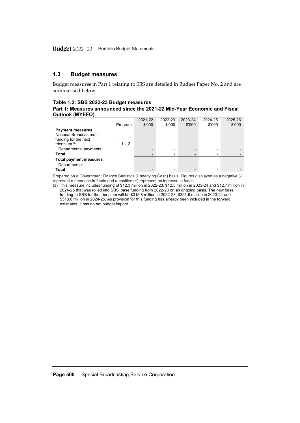#### <span id="page-9-0"></span>**1.3 Budget measures**

Budget measures in Part 1 relating to SBS are detailed in Budget Paper No. 2 and are summarised below.

#### **Table 1.2: SBS 2022-23 Budget measures**

**Part 1: Measures announced since the 2021-22 Mid-Year Economic and Fiscal Outlook (MYEFO)**

|                                                                            |          | 2021-22 | 2022-23                  | 2023-24 | 2024-25 | 2025-26 |
|----------------------------------------------------------------------------|----------|---------|--------------------------|---------|---------|---------|
|                                                                            | Program  | \$'000  | \$'000                   | \$'000  | \$'000  | \$'000  |
| <b>Payment measures</b><br>National Broadcasters -<br>funding for the next |          |         |                          |         |         |         |
| triennium $(a)$                                                            | 1.1, 1.2 |         |                          |         |         |         |
| Departmental payments                                                      |          |         |                          |         | ۰       |         |
| Total                                                                      |          |         | -                        | -       |         |         |
| <b>Total payment measures</b>                                              |          |         |                          |         |         |         |
| Departmental                                                               |          |         | $\overline{\phantom{0}}$ | -       |         |         |
| Total                                                                      |          |         |                          | ۰       |         |         |

Prepared on a Government Finance Statistics (Underlying Cash) basis. Figures displayed as a negative (-) represent a decrease in funds and a positive (+) represent an increase in funds.

(a) This measure includes funding of \$12.3 million in 2022-23, \$12.5 million in 2023-24 and \$12.7 million in 2024-25 that was rolled into SBS' base funding from 2022-23 on an ongoing basis. The new base funding to SBS for the triennium will be \$315.8 million in 2022-23, \$321.6 million in 2023-24 and \$318.6 million in 2024-25. As provision for this funding has already been included in the forward estimates, it has no net budget impact.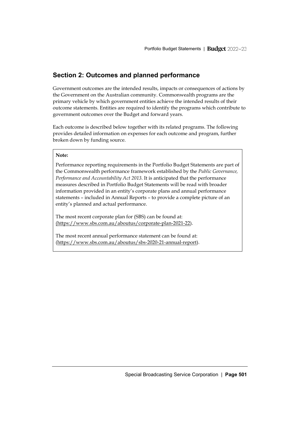## <span id="page-10-0"></span>**Section 2: Outcomes and planned performance**

Government outcomes are the intended results, impacts or consequences of actions by the Government on the Australian community. Commonwealth programs are the primary vehicle by which government entities achieve the intended results of their outcome statements. Entities are required to identify the programs which contribute to government outcomes over the Budget and forward years.

Each outcome is described below together with its related programs. The following provides detailed information on expenses for each outcome and program, further broken down by funding source.

#### **Note:**

Performance reporting requirements in the Portfolio Budget Statements are part of the Commonwealth performance framework established by the *Public Governance, Performance and Accountability Act 2013*. It is anticipated that the performance measures described in Portfolio Budget Statements will be read with broader information provided in an entity's corporate plans and annual performance statements – included in Annual Reports – to provide a complete picture of an entity's planned and actual performance.

The most recent corporate plan for (SBS) can be found at: (https://www.sbs.com.au/aboutus/corporate-plan-2021-22).

The most recent annual performance statement can be found at: (https://www.sbs.com.au/aboutus/sbs-2020-21-annual-report).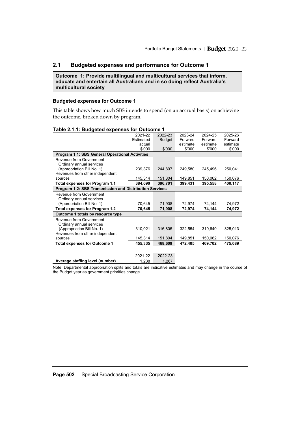#### <span id="page-11-0"></span>**2.1 Budgeted expenses and performance for Outcome 1**

**Outcome 1: Provide multilingual and multicultural services that inform, educate and entertain all Australians and in so doing reflect Australia's multicultural society**

#### **Budgeted expenses for Outcome 1**

This table shows how much SBS intends to spend (on an accrual basis) on achieving the outcome, broken down by program.

| . apic 2. Daagotoa cxponsos Tor Oatoomo                        |           |               |          |          |          |
|----------------------------------------------------------------|-----------|---------------|----------|----------|----------|
|                                                                | 2021-22   | 2022-23       | 2023-24  | 2024-25  | 2025-26  |
|                                                                | Estimated | <b>Budget</b> | Forward  | Forward  | Forward  |
|                                                                | actual    |               | estimate | estimate | estimate |
|                                                                | \$'000    | \$'000        | \$'000   | \$'000   | \$'000   |
| Program 1.1: SBS General Operational Activities                |           |               |          |          |          |
| Revenue from Government                                        |           |               |          |          |          |
| Ordinary annual services                                       |           |               |          |          |          |
| (Appropriation Bill No. 1)                                     | 239,376   | 244,897       | 249,580  | 245,496  | 250,041  |
| Revenues from other independent                                |           |               |          |          |          |
| sources                                                        | 145,314   | 151,804       | 149,851  | 150,062  | 150,076  |
| Total expenses for Program 1.1                                 | 384,690   | 396,701       | 399,431  | 395,558  | 400,117  |
| <b>Program 1.2: SBS Transmission and Distribution Services</b> |           |               |          |          |          |
| Revenue from Government                                        |           |               |          |          |          |
| Ordinary annual services                                       |           |               |          |          |          |
| (Appropriation Bill No. 1)                                     | 70,645    | 71,908        | 72,974   | 74,144   | 74,972   |
| <b>Total expenses for Program 1.2</b>                          | 70,645    | 71,908        | 72,974   | 74,144   | 74,972   |
| Outcome 1 totals by resource type                              |           |               |          |          |          |
| Revenue from Government                                        |           |               |          |          |          |
| Ordinary annual services                                       |           |               |          |          |          |
| (Appropriation Bill No. 1)                                     | 310,021   | 316,805       | 322,554  | 319,640  | 325,013  |
| Revenues from other independent                                |           |               |          |          |          |
| sources                                                        | 145,314   | 151,804       | 149,851  | 150,062  | 150,076  |
| <b>Total expenses for Outcome 1</b>                            | 455,335   | 468,609       | 472,405  | 469,702  | 475,089  |
|                                                                |           |               |          |          |          |
|                                                                |           |               |          |          |          |

#### **Table 2.1.1: Budgeted expenses for Outcome 1**

2021-22 2022-23<br>1,238 1,267 **Average staffing level (number)** 

Note: Departmental appropriation splits and totals are indicative estimates and may change in the course of the Budget year as government priorities change.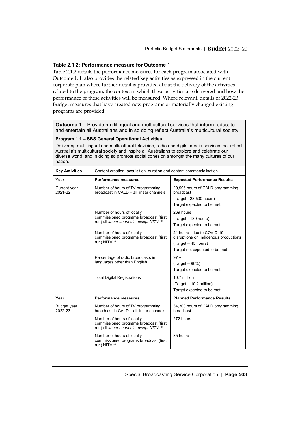#### **Table 2.1.2: Performance measure for Outcome 1**

Table 2.1.2 details the performance measures for each program associated with Outcome 1. It also provides the related key activities as expressed in the current corporate plan where further detail is provided about the delivery of the activities related to the program, the context in which these activities are delivered and how the performance of these activities will be measured. Where relevant, details of 2022-23 Budget measures that have created new programs or materially changed existing programs are provided.

**Outcome 1** – Provide multilingual and multicultural services that inform, educate and entertain all Australians and in so doing reflect Australia's multicultural society

#### **Program 1.1 – SBS General Operational Activities**

Delivering multilingual and multicultural television, radio and digital media services that reflect Australia's multicultural society and inspire all Australians to explore and celebrate our diverse world, and in doing so promote social cohesion amongst the many cultures of our nation.

| <b>Key Activities</b>         | Content creation, acquisition, curation and content commercialisation                                                              |                                                                                                                             |  |  |  |
|-------------------------------|------------------------------------------------------------------------------------------------------------------------------------|-----------------------------------------------------------------------------------------------------------------------------|--|--|--|
| Year                          | <b>Performance measures</b><br><b>Expected Performance Results</b>                                                                 |                                                                                                                             |  |  |  |
| Current year<br>2021-22       | Number of hours of TV programming<br>broadcast in $CAI$ $D - all$ linear channels                                                  | 29,996 hours of CALD programming<br>broadcast<br>(Target - 28,500 hours)<br>Target expected to be met                       |  |  |  |
|                               | Number of hours of locally<br>commissioned programs broadcast (first<br>run) all linear channels except NITV <sup>(a)</sup>        | 269 hours<br>(Target - 180 hours)<br>Target expected to be met                                                              |  |  |  |
|                               | Number of hours of locally<br>commissioned programs broadcast (first<br>run) NITV <sup>(a)</sup>                                   | 21 hours - due to COVID-19<br>disruptions on Indigenous productions<br>(Target - 45 hours)<br>Target not expected to be met |  |  |  |
|                               | Percentage of radio broadcasts in<br>languages other than English                                                                  | 97%<br>$(Target - 90%)$<br>Target expected to be met                                                                        |  |  |  |
|                               | <b>Total Digital Registrations</b>                                                                                                 | 10 7 million<br>(Target - 10.2 million)<br>Target expected to be met                                                        |  |  |  |
| Year                          | <b>Performance measures</b>                                                                                                        | <b>Planned Performance Results</b>                                                                                          |  |  |  |
| <b>Budget year</b><br>2022-23 | Number of hours of TV programming<br>broadcast in CALD - all linear channels                                                       | 34,300 hours of CALD programming<br>broadcast                                                                               |  |  |  |
|                               | Number of hours of locally<br>commissioned programs broadcast (first<br>run) all <i>linear channels except NITV</i> <sup>(a)</sup> | 272 hours                                                                                                                   |  |  |  |
|                               | Number of hours of locally<br>commissioned programs broadcast (first<br>run) NITV <sup>(a)</sup>                                   | 35 hours                                                                                                                    |  |  |  |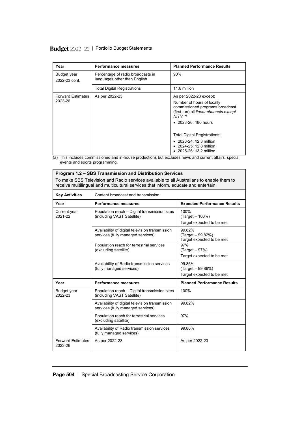| Year                                | <b>Performance measures</b>                                       | <b>Planned Performance Results</b>                                                                                                                                                |
|-------------------------------------|-------------------------------------------------------------------|-----------------------------------------------------------------------------------------------------------------------------------------------------------------------------------|
| Budget year<br>2022-23 cont.        | Percentage of radio broadcasts in<br>languages other than English | 90%                                                                                                                                                                               |
|                                     | <b>Total Digital Registrations</b>                                | 11.6 million                                                                                                                                                                      |
| <b>Forward Estimates</b><br>2023-26 | As per 2022-23                                                    | As per 2022-23 except:<br>Number of hours of locally<br>commissioned programs broadcast<br>(first run) all linear channels except<br>$NITV^{(a)}$<br>$\bullet$ 2023-26: 180 hours |
|                                     |                                                                   | <b>Total Digital Registrations:</b><br>$\bullet$ 2023-24: 12.3 million<br>$\bullet$ 2024-25: 12.8 million<br>• 2025-26: 13.2 million                                              |

(a) This includes commissioned and in-house productions but excludes news and current affairs, special events and sports programming.

| Program 1.2 - SBS Transmission and Distribution Services                                                                                                                        |                                                                                      |                                                            |  |  |  |  |  |
|---------------------------------------------------------------------------------------------------------------------------------------------------------------------------------|--------------------------------------------------------------------------------------|------------------------------------------------------------|--|--|--|--|--|
| To make SBS Television and Radio services available to all Australians to enable them to<br>receive multilingual and multicultural services that inform, educate and entertain. |                                                                                      |                                                            |  |  |  |  |  |
| <b>Key Activities</b><br>Content broadcast and transmission                                                                                                                     |                                                                                      |                                                            |  |  |  |  |  |
| Year                                                                                                                                                                            | <b>Performance measures</b>                                                          | <b>Expected Performance Results</b>                        |  |  |  |  |  |
| Current year<br>2021-22                                                                                                                                                         | Population reach – Digital transmission sites<br>(including VAST Satellite)          | 100%<br>(Target - 100%)<br>Target expected to be met       |  |  |  |  |  |
|                                                                                                                                                                                 | Availability of digital television transmission<br>services (fully managed services) | 99.82%<br>(Target - 99.82%)<br>Target expected to be met   |  |  |  |  |  |
|                                                                                                                                                                                 | Population reach for terrestrial services<br>(excluding satellite)                   | 97%<br>$(Target - 97%)$<br>Target expected to be met       |  |  |  |  |  |
|                                                                                                                                                                                 | Availability of Radio transmission services<br>(fully managed services)              | 99.86%<br>$(Target - 99.86%)$<br>Target expected to be met |  |  |  |  |  |
| Year                                                                                                                                                                            | <b>Performance measures</b>                                                          | <b>Planned Performance Results</b>                         |  |  |  |  |  |
| Budget year<br>2022-23                                                                                                                                                          | Population reach – Digital transmission sites<br>(including VAST Satellite)          | 100%                                                       |  |  |  |  |  |
|                                                                                                                                                                                 | Availability of digital television transmission<br>services (fully managed services) | 99.82%                                                     |  |  |  |  |  |
|                                                                                                                                                                                 | Population reach for terrestrial services<br>(excluding satellite)                   | 97%                                                        |  |  |  |  |  |
|                                                                                                                                                                                 | Availability of Radio transmission services<br>(fully managed services)              | 99.86%                                                     |  |  |  |  |  |
| <b>Forward Estimates</b><br>2023-26                                                                                                                                             | As per 2022-23                                                                       | As per 2022-23                                             |  |  |  |  |  |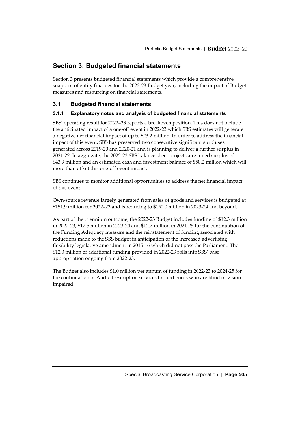## <span id="page-14-0"></span>**Section 3: Budgeted financial statements**

Section 3 presents budgeted financial statements which provide a comprehensive snapshot of entity finances for the 2022-23 Budget year, including the impact of Budget measures and resourcing on financial statements.

### <span id="page-14-1"></span>**3.1 Budgeted financial statements**

#### **3.1.1 Explanatory notes and analysis of budgeted financial statements**

SBS' operating result for 2022–23 reports a breakeven position. This does not include the anticipated impact of a one-off event in 2022-23 which SBS estimates will generate a negative net financial impact of up to \$23.2 million. In order to address the financial impact of this event, SBS has preserved two consecutive significant surpluses generated across 2019-20 and 2020-21 and is planning to deliver a further surplus in 2021-22. In aggregate, the 2022-23 SBS balance sheet projects a retained surplus of \$43.9 million and an estimated cash and investment balance of \$50.2 million which will more than offset this one-off event impact.

SBS continues to monitor additional opportunities to address the net financial impact of this event.

Own-source revenue largely generated from sales of goods and services is budgeted at \$151.9 million for 2022–23 and is reducing to \$150.0 million in 2023-24 and beyond.

As part of the triennium outcome, the 2022-23 Budget includes funding of \$12.3 million in 2022-23, \$12.5 million in 2023-24 and \$12.7 million in 2024-25 for the continuation of the Funding Adequacy measure and the reinstatement of funding associated with reductions made to the SBS budget in anticipation of the increased advertising flexibility legislative amendment in 2015-16 which did not pass the Parliament. The \$12.3 million of additional funding provided in 2022-23 rolls into SBS' base appropriation ongoing from 2022-23.

The Budget also includes \$1.0 million per annum of funding in 2022-23 to 2024-25 for the continuation of Audio Description services for audiences who are blind or visionimpaired.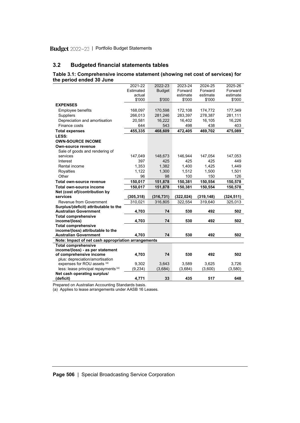#### <span id="page-15-0"></span>**3.2 Budgeted financial statements tables**

#### **Table 3.1: Comprehensive income statement (showing net cost of services) for the period ended 30 June**

|                                                     | 2021-22    | 2022-23       | 2023-24    | 2024-25    | 2025-26    |
|-----------------------------------------------------|------------|---------------|------------|------------|------------|
|                                                     | Estimated  | <b>Budget</b> | Forward    | Forward    | Forward    |
|                                                     | actual     |               | estimate   | estimate   | estimate   |
|                                                     | \$'000     | \$'000        | \$'000     | \$'000     | \$'000     |
| <b>EXPENSES</b>                                     |            |               |            |            |            |
| Employee benefits                                   | 168,097    | 170,598       | 172,108    | 174,772    | 177,349    |
| Suppliers                                           | 266,013    | 281,246       | 283,397    | 278,387    | 281,111    |
| Depreciation and amortisation                       | 20,581     | 16,222        | 16,402     | 16,105     | 16,226     |
| Finance costs                                       | 644        | 543           | 498        | 438        | 403        |
| <b>Total expenses</b>                               | 455,335    | 468.609       | 472,405    | 469.702    | 475,089    |
| LESS:                                               |            |               |            |            |            |
| <b>OWN-SOURCE INCOME</b>                            |            |               |            |            |            |
| Own-source revenue                                  |            |               |            |            |            |
| Sale of goods and rendering of                      |            |               |            |            |            |
| services                                            | 147,049    | 148,673       | 146.944    | 147,054    | 147,053    |
| Interest                                            | 397        | 425           | 425        | 425        | 449        |
| Rental income                                       | 1,353      | 1,382         | 1,400      | 1,425      | 1,449      |
| Royalties                                           | 1,122      | 1,300         | 1,512      | 1,500      | 1,501      |
| Other                                               | 96         | 98            | 100        | 150        | 126        |
| Total own-source revenue                            | 150,017    | 151,878       | 150,381    | 150,554    | 150,578    |
| Total own-source income                             | 150,017    | 151,878       | 150,381    | 150,554    | 150,578    |
| Net (cost of)/contribution by                       |            |               |            |            |            |
| services                                            | (305, 318) | (316, 731)    | (322, 024) | (319, 148) | (324, 511) |
| Revenue from Government                             | 310,021    | 316,805       | 322,554    | 319,640    | 325,013    |
| Surplus/(deficit) attributable to the               |            |               |            |            |            |
| <b>Australian Government</b>                        | 4,703      | 74            | 530        | 492        | 502        |
| <b>Total comprehensive</b>                          |            |               |            |            |            |
| income/(loss)                                       | 4,703      | 74            | 530        | 492        | 502        |
| <b>Total comprehensive</b>                          |            |               |            |            |            |
| income/(loss) attributable to the                   |            |               |            |            |            |
| <b>Australian Government</b>                        | 4,703      | 74            | 530        | 492        | 502        |
| Note: Impact of net cash appropriation arrangements |            |               |            |            |            |
| <b>Total comprehensive</b>                          |            |               |            |            |            |
| income/(loss) - as per statement                    |            |               |            |            |            |
| of comprehensive income                             | 4,703      | 74            | 530        | 492        | 502        |
| plus: depreciation/amortisation                     |            |               |            |            |            |
| expenses for ROU assets (a)                         | 9,302      | 3,643         | 3,589      | 3,625      | 3,726      |
| less: lease principal repayments (a)                | (9, 234)   | (3,684)       | (3,684)    | (3,600)    | (3,580)    |
| Net cash operating surplus/                         |            |               |            |            |            |
| (deficit)                                           | 4,771      | 33            | 435        | 517        | 648        |

Prepared on Australian Accounting Standards basis.

(a) Applies to lease arrangements under AASB 16 Leases.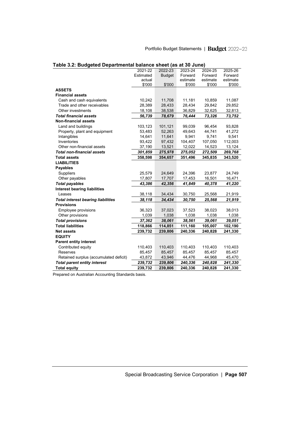| 2021-22<br>2022-23<br>2023-24<br>2025-26<br>2024-25<br><b>Budget</b><br>Forward<br>Forward<br>Forward<br>Estimated<br>estimate<br>estimate<br>estimate<br>actual<br>\$'000<br>\$'000<br>\$'000<br>\$'000<br>\$'000<br><b>ASSETS</b><br><b>Financial assets</b><br>Cash and cash equivalents<br>10,242<br>11,708<br>11,181<br>10,859<br>11,087<br>28,389<br>28,433<br>28,434<br>Trade and other receivables<br>29,842<br>29,852<br>Other investments<br>18,108<br>38,538<br>36,829<br>32,625<br>32,813<br><b>Total financial assets</b><br>56,739<br>76,444<br>73,326<br>78,679<br>73,752<br><b>Non-financial assets</b><br>Land and buildings<br>103,123<br>101,121<br>99,039<br>96,454<br>93,828<br>52,263<br>49,643<br>44,741<br>41,272<br>Property, plant and equipment<br>53,483<br>11,641<br>9,741<br>Intangibles<br>14,641<br>9,941<br>9,541<br>Inventories<br>97,432<br>104,407<br>107,050<br>112,003<br>93,422<br>Other non-financial assets<br>37,190<br>13,521<br>12,022<br>14,523<br>13,124<br>275,978<br>272,509<br>269,768<br><b>Total non-financial assets</b><br>301,859<br>275,052<br><b>Total assets</b><br>358,598<br>343,520<br>354,657<br>351,496<br>345,835<br><b>LIABILITIES</b><br><b>Payables</b><br>24,396<br>Suppliers<br>25,579<br>24,649<br>23,877<br>24,749<br>17,807<br>Other payables<br>17,707<br>17,453<br>16,501<br>16,471<br>43,386<br>41,849<br><b>Total payables</b><br>42,356<br>40,378<br>41,220<br><b>Interest bearing liabilities</b> |
|--------------------------------------------------------------------------------------------------------------------------------------------------------------------------------------------------------------------------------------------------------------------------------------------------------------------------------------------------------------------------------------------------------------------------------------------------------------------------------------------------------------------------------------------------------------------------------------------------------------------------------------------------------------------------------------------------------------------------------------------------------------------------------------------------------------------------------------------------------------------------------------------------------------------------------------------------------------------------------------------------------------------------------------------------------------------------------------------------------------------------------------------------------------------------------------------------------------------------------------------------------------------------------------------------------------------------------------------------------------------------------------------------------------------------------------------------------------------------------|
|                                                                                                                                                                                                                                                                                                                                                                                                                                                                                                                                                                                                                                                                                                                                                                                                                                                                                                                                                                                                                                                                                                                                                                                                                                                                                                                                                                                                                                                                                |
|                                                                                                                                                                                                                                                                                                                                                                                                                                                                                                                                                                                                                                                                                                                                                                                                                                                                                                                                                                                                                                                                                                                                                                                                                                                                                                                                                                                                                                                                                |
|                                                                                                                                                                                                                                                                                                                                                                                                                                                                                                                                                                                                                                                                                                                                                                                                                                                                                                                                                                                                                                                                                                                                                                                                                                                                                                                                                                                                                                                                                |
|                                                                                                                                                                                                                                                                                                                                                                                                                                                                                                                                                                                                                                                                                                                                                                                                                                                                                                                                                                                                                                                                                                                                                                                                                                                                                                                                                                                                                                                                                |
|                                                                                                                                                                                                                                                                                                                                                                                                                                                                                                                                                                                                                                                                                                                                                                                                                                                                                                                                                                                                                                                                                                                                                                                                                                                                                                                                                                                                                                                                                |
|                                                                                                                                                                                                                                                                                                                                                                                                                                                                                                                                                                                                                                                                                                                                                                                                                                                                                                                                                                                                                                                                                                                                                                                                                                                                                                                                                                                                                                                                                |
|                                                                                                                                                                                                                                                                                                                                                                                                                                                                                                                                                                                                                                                                                                                                                                                                                                                                                                                                                                                                                                                                                                                                                                                                                                                                                                                                                                                                                                                                                |
|                                                                                                                                                                                                                                                                                                                                                                                                                                                                                                                                                                                                                                                                                                                                                                                                                                                                                                                                                                                                                                                                                                                                                                                                                                                                                                                                                                                                                                                                                |
|                                                                                                                                                                                                                                                                                                                                                                                                                                                                                                                                                                                                                                                                                                                                                                                                                                                                                                                                                                                                                                                                                                                                                                                                                                                                                                                                                                                                                                                                                |
|                                                                                                                                                                                                                                                                                                                                                                                                                                                                                                                                                                                                                                                                                                                                                                                                                                                                                                                                                                                                                                                                                                                                                                                                                                                                                                                                                                                                                                                                                |
|                                                                                                                                                                                                                                                                                                                                                                                                                                                                                                                                                                                                                                                                                                                                                                                                                                                                                                                                                                                                                                                                                                                                                                                                                                                                                                                                                                                                                                                                                |
|                                                                                                                                                                                                                                                                                                                                                                                                                                                                                                                                                                                                                                                                                                                                                                                                                                                                                                                                                                                                                                                                                                                                                                                                                                                                                                                                                                                                                                                                                |
|                                                                                                                                                                                                                                                                                                                                                                                                                                                                                                                                                                                                                                                                                                                                                                                                                                                                                                                                                                                                                                                                                                                                                                                                                                                                                                                                                                                                                                                                                |
|                                                                                                                                                                                                                                                                                                                                                                                                                                                                                                                                                                                                                                                                                                                                                                                                                                                                                                                                                                                                                                                                                                                                                                                                                                                                                                                                                                                                                                                                                |
|                                                                                                                                                                                                                                                                                                                                                                                                                                                                                                                                                                                                                                                                                                                                                                                                                                                                                                                                                                                                                                                                                                                                                                                                                                                                                                                                                                                                                                                                                |
|                                                                                                                                                                                                                                                                                                                                                                                                                                                                                                                                                                                                                                                                                                                                                                                                                                                                                                                                                                                                                                                                                                                                                                                                                                                                                                                                                                                                                                                                                |
|                                                                                                                                                                                                                                                                                                                                                                                                                                                                                                                                                                                                                                                                                                                                                                                                                                                                                                                                                                                                                                                                                                                                                                                                                                                                                                                                                                                                                                                                                |
|                                                                                                                                                                                                                                                                                                                                                                                                                                                                                                                                                                                                                                                                                                                                                                                                                                                                                                                                                                                                                                                                                                                                                                                                                                                                                                                                                                                                                                                                                |
|                                                                                                                                                                                                                                                                                                                                                                                                                                                                                                                                                                                                                                                                                                                                                                                                                                                                                                                                                                                                                                                                                                                                                                                                                                                                                                                                                                                                                                                                                |
|                                                                                                                                                                                                                                                                                                                                                                                                                                                                                                                                                                                                                                                                                                                                                                                                                                                                                                                                                                                                                                                                                                                                                                                                                                                                                                                                                                                                                                                                                |
|                                                                                                                                                                                                                                                                                                                                                                                                                                                                                                                                                                                                                                                                                                                                                                                                                                                                                                                                                                                                                                                                                                                                                                                                                                                                                                                                                                                                                                                                                |
|                                                                                                                                                                                                                                                                                                                                                                                                                                                                                                                                                                                                                                                                                                                                                                                                                                                                                                                                                                                                                                                                                                                                                                                                                                                                                                                                                                                                                                                                                |
|                                                                                                                                                                                                                                                                                                                                                                                                                                                                                                                                                                                                                                                                                                                                                                                                                                                                                                                                                                                                                                                                                                                                                                                                                                                                                                                                                                                                                                                                                |
|                                                                                                                                                                                                                                                                                                                                                                                                                                                                                                                                                                                                                                                                                                                                                                                                                                                                                                                                                                                                                                                                                                                                                                                                                                                                                                                                                                                                                                                                                |
| 25,568<br>Leases<br>38,118<br>34,434<br>30,750<br>21,919                                                                                                                                                                                                                                                                                                                                                                                                                                                                                                                                                                                                                                                                                                                                                                                                                                                                                                                                                                                                                                                                                                                                                                                                                                                                                                                                                                                                                       |
| 38,118<br><b>Total interest bearing liabilities</b><br>34,434<br>30,750<br>21,919<br>25,568                                                                                                                                                                                                                                                                                                                                                                                                                                                                                                                                                                                                                                                                                                                                                                                                                                                                                                                                                                                                                                                                                                                                                                                                                                                                                                                                                                                    |
| <b>Provisions</b>                                                                                                                                                                                                                                                                                                                                                                                                                                                                                                                                                                                                                                                                                                                                                                                                                                                                                                                                                                                                                                                                                                                                                                                                                                                                                                                                                                                                                                                              |
| Employee provisions<br>36,323<br>37,023<br>37,523<br>38,023<br>38,013                                                                                                                                                                                                                                                                                                                                                                                                                                                                                                                                                                                                                                                                                                                                                                                                                                                                                                                                                                                                                                                                                                                                                                                                                                                                                                                                                                                                          |
| 1,039<br>1,038<br>1,038<br>1,038<br>1,038<br>Other provisions                                                                                                                                                                                                                                                                                                                                                                                                                                                                                                                                                                                                                                                                                                                                                                                                                                                                                                                                                                                                                                                                                                                                                                                                                                                                                                                                                                                                                  |
| <b>Total provisions</b><br>37,362<br>38,061<br>38,561<br>39,061<br>39,051                                                                                                                                                                                                                                                                                                                                                                                                                                                                                                                                                                                                                                                                                                                                                                                                                                                                                                                                                                                                                                                                                                                                                                                                                                                                                                                                                                                                      |
| <b>Total liabilities</b><br>118,866<br>102,190<br>114,851<br>111,160<br>105,007                                                                                                                                                                                                                                                                                                                                                                                                                                                                                                                                                                                                                                                                                                                                                                                                                                                                                                                                                                                                                                                                                                                                                                                                                                                                                                                                                                                                |
| 239,732<br>239,806<br>240,336<br>240,828<br>241,330<br><b>Net assets</b>                                                                                                                                                                                                                                                                                                                                                                                                                                                                                                                                                                                                                                                                                                                                                                                                                                                                                                                                                                                                                                                                                                                                                                                                                                                                                                                                                                                                       |
| <b>EQUITY</b>                                                                                                                                                                                                                                                                                                                                                                                                                                                                                                                                                                                                                                                                                                                                                                                                                                                                                                                                                                                                                                                                                                                                                                                                                                                                                                                                                                                                                                                                  |
| <b>Parent entity interest</b>                                                                                                                                                                                                                                                                                                                                                                                                                                                                                                                                                                                                                                                                                                                                                                                                                                                                                                                                                                                                                                                                                                                                                                                                                                                                                                                                                                                                                                                  |
| 110,403<br>110,403<br>110,403<br>110,403<br>Contributed equity<br>110,403                                                                                                                                                                                                                                                                                                                                                                                                                                                                                                                                                                                                                                                                                                                                                                                                                                                                                                                                                                                                                                                                                                                                                                                                                                                                                                                                                                                                      |
| 85,457<br>85,457<br>Reserves<br>85,457<br>85,457<br>85,457                                                                                                                                                                                                                                                                                                                                                                                                                                                                                                                                                                                                                                                                                                                                                                                                                                                                                                                                                                                                                                                                                                                                                                                                                                                                                                                                                                                                                     |
| Retained surplus (accumulated deficit)<br>43,872<br>43,946<br>44,476<br>44,968<br>45,470                                                                                                                                                                                                                                                                                                                                                                                                                                                                                                                                                                                                                                                                                                                                                                                                                                                                                                                                                                                                                                                                                                                                                                                                                                                                                                                                                                                       |
| <b>Total parent entity interest</b><br>239,732<br>239,806<br>240,336<br>240,828<br>241,330                                                                                                                                                                                                                                                                                                                                                                                                                                                                                                                                                                                                                                                                                                                                                                                                                                                                                                                                                                                                                                                                                                                                                                                                                                                                                                                                                                                     |
| <b>Total equity</b><br>239,806<br>240,336<br>241,330<br>239,732<br>240,828                                                                                                                                                                                                                                                                                                                                                                                                                                                                                                                                                                                                                                                                                                                                                                                                                                                                                                                                                                                                                                                                                                                                                                                                                                                                                                                                                                                                     |

|  | Table 3.2: Budgeted Departmental balance sheet (as at 30 June) |  |
|--|----------------------------------------------------------------|--|
|--|----------------------------------------------------------------|--|

**Prepared on Australian Accounting Standards basis.**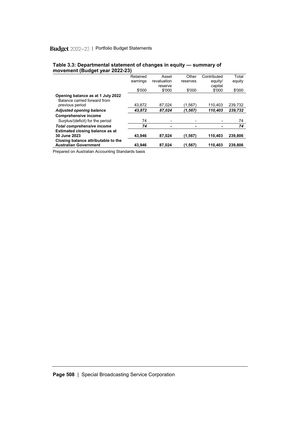| .                                                                 | Retained | Asset       | Other    | Contributed | Total   |
|-------------------------------------------------------------------|----------|-------------|----------|-------------|---------|
|                                                                   |          |             |          |             |         |
|                                                                   | earnings | revaluation | reserves | equity/     | equity  |
|                                                                   |          | reserve     |          | capital     |         |
|                                                                   | \$'000   | \$'000      | \$'000   | \$'000      | \$'000  |
| Opening balance as at 1 July 2022<br>Balance carried forward from |          |             |          |             |         |
| previous period                                                   | 43,872   | 87,024      | (1.567`  | 110.403     | 239,732 |
| <b>Adjusted opening balance</b>                                   | 43,872   | 87,024      | (1, 567) | 110,403     | 239,732 |
| <b>Comprehensive income</b>                                       |          |             |          |             |         |
| Surplus/(deficit) for the period                                  | 74       |             |          |             | 74      |
| <b>Total comprehensive income</b>                                 | 74       |             |          |             | 74      |
| Estimated closing balance as at                                   |          |             |          |             |         |
| 30 June 2023                                                      | 43.946   | 87.024      | (1, 567) | 110.403     | 239.806 |
| Closing balance attributable to the                               |          |             |          |             |         |
| <b>Australian Government</b>                                      | 43,946   | 87,024      | (1.567)  | 110,403     | 239,806 |

#### **Table 3.3: Departmental statement of changes in equity — summary of movement (Budget year 2022-23)**

Prepared on Australian Accounting Standards basis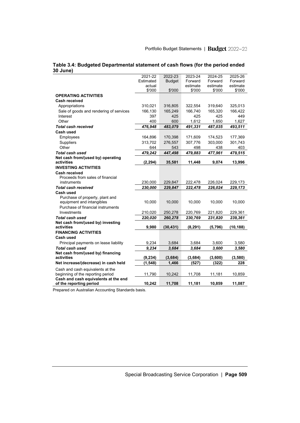|                                         | 2021-22   | 2022-23       | 2023-24  | 2024-25  | 2025-26   |
|-----------------------------------------|-----------|---------------|----------|----------|-----------|
|                                         | Estimated | <b>Budget</b> | Forward  | Forward  | Forward   |
|                                         | actual    |               | estimate | estimate | estimate  |
|                                         | \$'000    | \$'000        | \$'000   | \$'000   | \$'000    |
| <b>OPERATING ACTIVITIES</b>             |           |               |          |          |           |
| Cash received                           |           |               |          |          |           |
| Appropriations                          | 310,021   | 316,805       | 322,554  | 319,640  | 325,013   |
| Sale of goods and rendering of services | 166,130   | 165,249       | 166,740  | 165,320  | 166,422   |
| Interest                                | 397       | 425           | 425      | 425      | 449       |
| Other                                   | 400       | 600           | 1,612    | 1,650    | 1,627     |
| <b>Total cash received</b>              | 476,948   | 483,079       | 491,331  | 487,035  | 493,511   |
| Cash used                               |           |               |          |          |           |
| Employees                               | 164,896   | 170,398       | 171,609  | 174,523  | 177,369   |
| Suppliers                               | 313,702   | 276,557       | 307,776  | 303,000  | 301,743   |
| Other                                   | 644       | 543           | 498      | 438      | 403       |
| Total cash used                         | 479,242   | 447,498       | 479,883  | 477,961  | 479,515   |
| Net cash from/(used by) operating       |           |               |          |          |           |
| activities                              | (2, 294)  | 35,581        | 11,448   | 9,074    | 13,996    |
| <b>INVESTING ACTIVITIES</b>             |           |               |          |          |           |
| Cash received                           |           |               |          |          |           |
| Proceeds from sales of financial        |           |               |          |          |           |
| instruments                             | 230,000   | 229,847       | 222,478  | 226,024  | 229,173   |
| <b>Total cash received</b>              | 230,000   | 229.847       | 222,478  | 226.024  | 229,173   |
| Cash used                               |           |               |          |          |           |
| Purchase of property, plant and         |           |               |          |          |           |
| equipment and intangibles               | 10,000    | 10,000        | 10,000   | 10,000   | 10,000    |
| Purchase of financial instruments       |           |               |          |          |           |
| Investments                             | 210,020   | 250,278       | 220,769  | 221,820  | 229,361   |
| Total cash used                         | 220,020   | 260,278       | 230,769  | 231,820  | 239,361   |
| Net cash from/(used by) investing       |           |               |          |          |           |
| activities                              | 9,980     | (30, 431)     | (8, 291) | (5,796)  | (10, 188) |
| <b>FINANCING ACTIVITIES</b>             |           |               |          |          |           |
| Cash used                               |           |               |          |          |           |
| Principal payments on lease liability   | 9,234     | 3.684         | 3.684    | 3,600    | 3,580     |
| Total cash used                         | 9,234     | 3,684         | 3,684    | 3,600    | 3,580     |
| Net cash from/(used by) financing       |           |               |          |          |           |
| activities                              | (9, 234)  | (3,684)       | (3,684)  | (3,600)  | (3, 580)  |
| Net increase/(decrease) in cash held    | (1, 548)  | 1,466         | (527)    | (322)    | 228       |
| Cash and cash equivalents at the        |           |               |          |          |           |
| beginning of the reporting period       | 11,790    | 10,242        | 11,708   | 11,181   | 10,859    |
| Cash and cash equivalents at the end    |           |               |          |          |           |
| of the reporting period                 | 10,242    | 11,708        | 11,181   | 10,859   | 11,087    |

#### **Table 3.4: Budgeted Departmental statement of cash flows (for the period ended 30 June)**

Prepared on Australian Accounting Standards basis.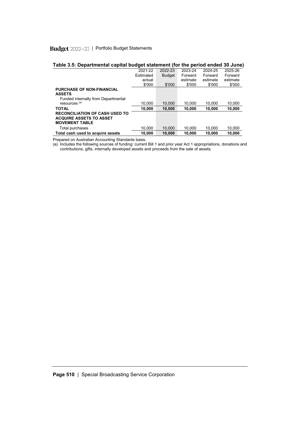| rapie J.J. Departmentar capital budget statement (for the period ended Jo June) |           |               |          |          |          |
|---------------------------------------------------------------------------------|-----------|---------------|----------|----------|----------|
|                                                                                 | 2021-22   | 2022-23       | 2023-24  | 2024-25  | 2025-26  |
|                                                                                 | Estimated | <b>Budget</b> | Forward  | Forward  | Forward  |
|                                                                                 | actual    |               | estimate | estimate | estimate |
|                                                                                 | \$'000    | \$'000        | \$'000   | \$'000   | \$'000   |
| <b>PURCHASE OF NON-FINANCIAL</b>                                                |           |               |          |          |          |
| <b>ASSETS</b>                                                                   |           |               |          |          |          |
| Funded internally from Departmental                                             |           |               |          |          |          |
| resources <sup>(a)</sup>                                                        | 10.000    | 10.000        | 10.000   | 10.000   | 10.000   |
| <b>TOTAL</b>                                                                    | 10.000    | 10.000        | 10.000   | 10,000   | 10,000   |
| <b>RECONCILIATION OF CASH USED TO</b>                                           |           |               |          |          |          |
| <b>ACQUIRE ASSETS TO ASSET</b>                                                  |           |               |          |          |          |
| <b>MOVEMENT TABLE</b>                                                           |           |               |          |          |          |
| Total purchases                                                                 | 10.000    | 10.000        | 10.000   | 10.000   | 10.000   |
| Total cash used to acquire assets                                               | 10.000    | 10.000        | 10.000   | 10.000   | 10.000   |
|                                                                                 |           |               |          |          |          |

#### **Table 3.5: Departmental capital budget statement (for the period ended 30 June)**

Prepared on Australian Accounting Standards basis.

(a) Includes the following sources of funding: current Bill 1 and prior year Act 1 appropriations, donations and contributions, gifts, internally developed assets and proceeds from the sale of assets.